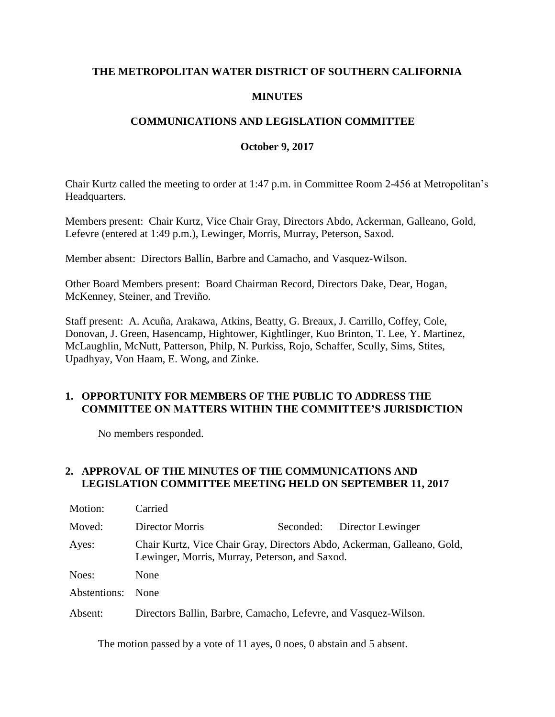## **THE METROPOLITAN WATER DISTRICT OF SOUTHERN CALIFORNIA**

### **MINUTES**

## **COMMUNICATIONS AND LEGISLATION COMMITTEE**

### **October 9, 2017**

Chair Kurtz called the meeting to order at 1:47 p.m. in Committee Room 2-456 at Metropolitan's Headquarters.

Members present: Chair Kurtz, Vice Chair Gray, Directors Abdo, Ackerman, Galleano, Gold, Lefevre (entered at 1:49 p.m.), Lewinger, Morris, Murray, Peterson, Saxod.

Member absent: Directors Ballin, Barbre and Camacho, and Vasquez-Wilson.

Other Board Members present: Board Chairman Record, Directors Dake, Dear, Hogan, McKenney, Steiner, and Treviño.

Staff present: A. Acuña, Arakawa, Atkins, Beatty, G. Breaux, J. Carrillo, Coffey, Cole, Donovan, J. Green, Hasencamp, Hightower, Kightlinger, Kuo Brinton, T. Lee, Y. Martinez, McLaughlin, McNutt, Patterson, Philp, N. Purkiss, Rojo, Schaffer, Scully, Sims, Stites, Upadhyay, Von Haam, E. Wong, and Zinke.

### **1. OPPORTUNITY FOR MEMBERS OF THE PUBLIC TO ADDRESS THE COMMITTEE ON MATTERS WITHIN THE COMMITTEE'S JURISDICTION**

No members responded.

### **2. APPROVAL OF THE MINUTES OF THE COMMUNICATIONS AND LEGISLATION COMMITTEE MEETING HELD ON SEPTEMBER 11, 2017**

| Motion:      | Carried                                                                                                                   |           |                   |  |
|--------------|---------------------------------------------------------------------------------------------------------------------------|-----------|-------------------|--|
| Moved:       | Director Morris                                                                                                           | Seconded: | Director Lewinger |  |
| Ayes:        | Chair Kurtz, Vice Chair Gray, Directors Abdo, Ackerman, Galleano, Gold,<br>Lewinger, Morris, Murray, Peterson, and Saxod. |           |                   |  |
| Noes:        | None                                                                                                                      |           |                   |  |
| Abstentions: | <b>None</b>                                                                                                               |           |                   |  |
| Absent:      | Directors Ballin, Barbre, Camacho, Lefevre, and Vasquez-Wilson.                                                           |           |                   |  |

The motion passed by a vote of 11 ayes, 0 noes, 0 abstain and 5 absent.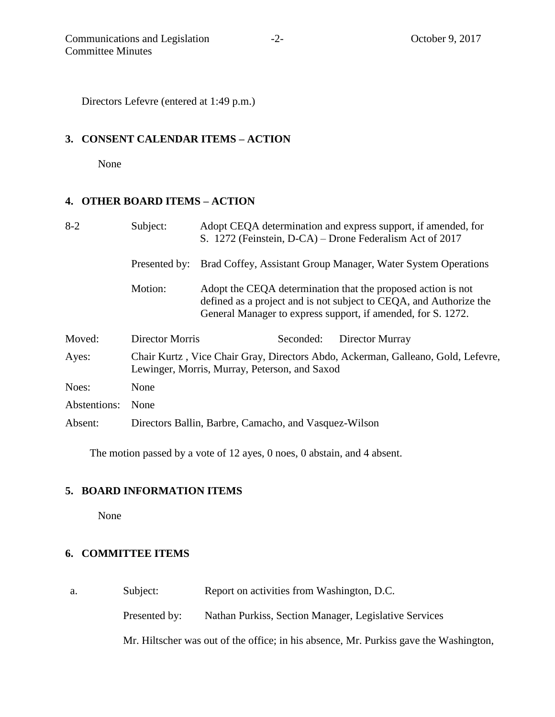Directors Lefevre (entered at 1:49 p.m.)

### **3. CONSENT CALENDAR ITEMS – ACTION**

None

# **4. OTHER BOARD ITEMS – ACTION**

| $8 - 2$      | Subject:                                                                                                                          | Adopt CEQA determination and express support, if amended, for<br>S. 1272 (Feinstein, D-CA) – Drone Federalism Act of 2017                                                                          |  |
|--------------|-----------------------------------------------------------------------------------------------------------------------------------|----------------------------------------------------------------------------------------------------------------------------------------------------------------------------------------------------|--|
|              | Presented by:                                                                                                                     | Brad Coffey, Assistant Group Manager, Water System Operations                                                                                                                                      |  |
|              | Motion:                                                                                                                           | Adopt the CEQA determination that the proposed action is not<br>defined as a project and is not subject to CEQA, and Authorize the<br>General Manager to express support, if amended, for S. 1272. |  |
| Moved:       | Director Morris                                                                                                                   | Director Murray<br>Seconded:                                                                                                                                                                       |  |
| Ayes:        | Chair Kurtz, Vice Chair Gray, Directors Abdo, Ackerman, Galleano, Gold, Lefevre,<br>Lewinger, Morris, Murray, Peterson, and Saxod |                                                                                                                                                                                                    |  |
| Noes:        | None                                                                                                                              |                                                                                                                                                                                                    |  |
| Abstentions: | None                                                                                                                              |                                                                                                                                                                                                    |  |
| Absent:      | Directors Ballin, Barbre, Camacho, and Vasquez-Wilson                                                                             |                                                                                                                                                                                                    |  |
|              |                                                                                                                                   |                                                                                                                                                                                                    |  |

The motion passed by a vote of 12 ayes, 0 noes, 0 abstain, and 4 absent.

# **5. BOARD INFORMATION ITEMS**

None

# **6. COMMITTEE ITEMS**

a. Subject: Report on activities from Washington, D.C.

Presented by: Nathan Purkiss, Section Manager, Legislative Services

Mr. Hiltscher was out of the office; in his absence, Mr. Purkiss gave the Washington,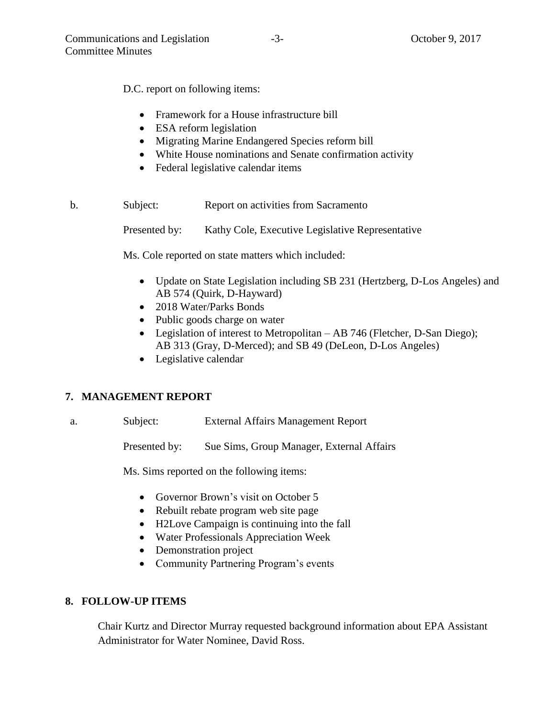D.C. report on following items:

- Framework for a House infrastructure bill
- ESA reform legislation
- Migrating Marine Endangered Species reform bill
- White House nominations and Senate confirmation activity
- Federal legislative calendar items

b. Subject: Report on activities from Sacramento

Presented by: Kathy Cole, Executive Legislative Representative

Ms. Cole reported on state matters which included:

- Update on State Legislation including SB 231 (Hertzberg, D-Los Angeles) and AB 574 (Quirk, D-Hayward)
- 2018 Water/Parks Bonds
- Public goods charge on water
- Legislation of interest to Metropolitan AB 746 (Fletcher, D-San Diego); AB 313 (Gray, D-Merced); and SB 49 (DeLeon, D-Los Angeles)
- Legislative calendar

### **7. MANAGEMENT REPORT**

| External Affairs Management Report<br>Subject:<br>а. |  |
|------------------------------------------------------|--|
|------------------------------------------------------|--|

Presented by: Sue Sims, Group Manager, External Affairs

Ms. Sims reported on the following items:

- Governor Brown's visit on October 5
- Rebuilt rebate program web site page
- H2Love Campaign is continuing into the fall
- Water Professionals Appreciation Week
- Demonstration project
- Community Partnering Program's events

### **8. FOLLOW-UP ITEMS**

Chair Kurtz and Director Murray requested background information about EPA Assistant Administrator for Water Nominee, David Ross.